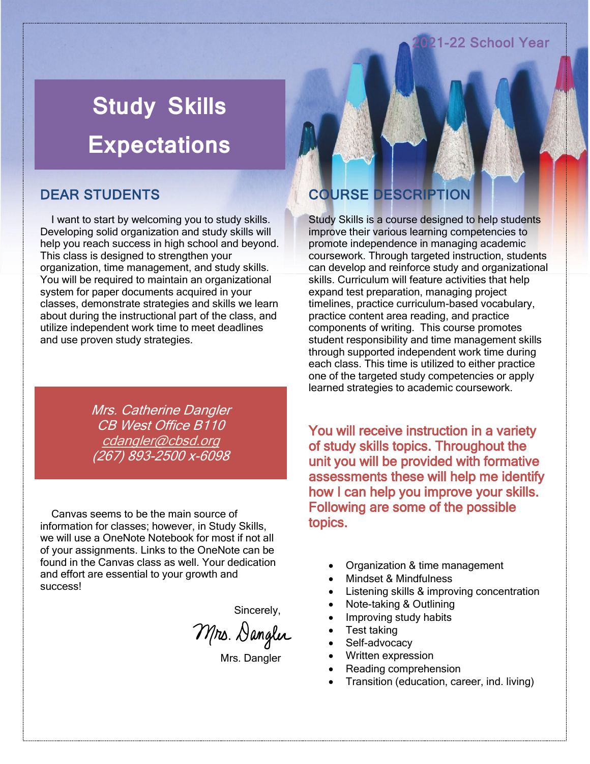#### 22 School Year

# **Study Skills Expectations**

### DEAR STUDENTS

 I want to start by welcoming you to study skills. Developing solid organization and study skills will help you reach success in high school and beyond. This class is designed to strengthen your organization, time management, and study skills. You will be required to maintain an organizational system for paper documents acquired in your classes, demonstrate strategies and skills we learn about during the instructional part of the class, and utilize independent work time to meet deadlines and use proven study strategies.

> Mrs. Catherine Dangler CB West Office B110 [cdangler@cbsd.org](mailto:cdangler@cbsd.org) (267) 893-2500 x-6098

 Canvas seems to be the main source of information for classes; however, in Study Skills, we will use a OneNote Notebook for most if not all of your assignments. Links to the OneNote can be found in the Canvas class as well. Your dedication and effort are essential to your growth and success!

Sincerely,

Mrs. Dangler

Mrs. Dangler

### COURSE DESCRIPTION

Study Skills is a course designed to help students improve their various learning competencies to promote independence in managing academic coursework. Through targeted instruction, students can develop and reinforce study and organizational skills. Curriculum will feature activities that help expand test preparation, managing project timelines, practice curriculum-based vocabulary, practice content area reading, and practice components of writing. This course promotes student responsibility and time management skills through supported independent work time during each class. This time is utilized to either practice one of the targeted study competencies or apply learned strategies to academic coursework.

You will receive instruction in a variety of study skills topics. Throughout the unit you will be provided with formative assessments these will help me identify how I can help you improve your skills. Following are some of the possible topics.

- Organization & time management
- Mindset & Mindfulness
- Listening skills & improving concentration
- Note-taking & Outlining
- Improving study habits
- Test taking
- Self-advocacy
- Written expression
- Reading comprehension
- Transition (education, career, ind. living)